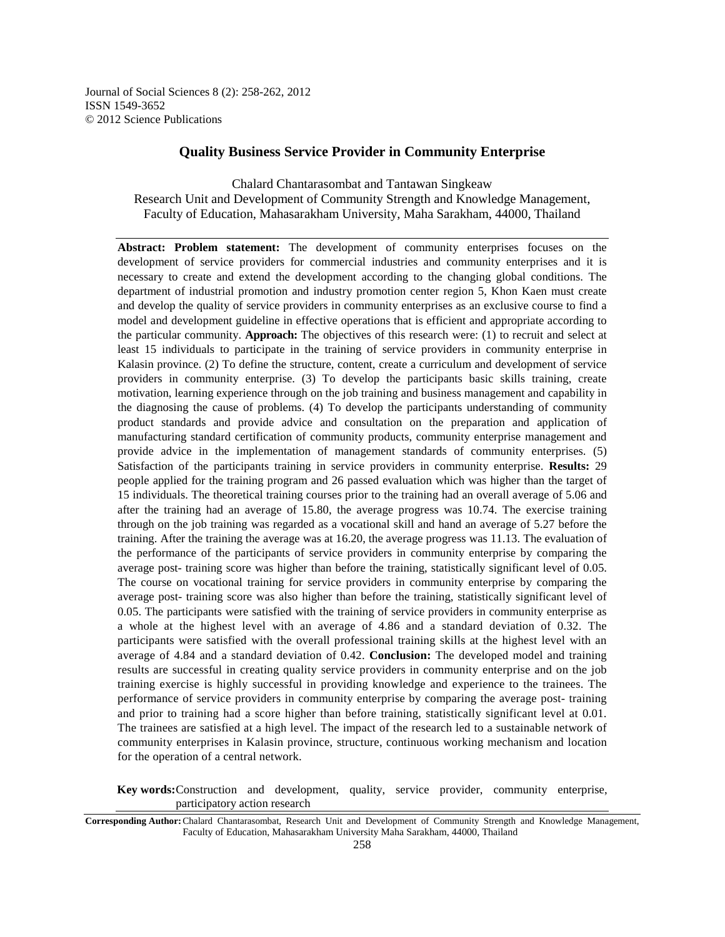Journal of Social Sciences 8 (2): 258-262, 2012 ISSN 1549-3652 © 2012 Science Publications

# **Quality Business Service Provider in Community Enterprise**

Chalard Chantarasombat and Tantawan Singkeaw Research Unit and Development of Community Strength and Knowledge Management, Faculty of Education, Mahasarakham University, Maha Sarakham, 44000, Thailand

**Abstract: Problem statement:** The development of community enterprises focuses on the development of service providers for commercial industries and community enterprises and it is necessary to create and extend the development according to the changing global conditions. The department of industrial promotion and industry promotion center region 5, Khon Kaen must create and develop the quality of service providers in community enterprises as an exclusive course to find a model and development guideline in effective operations that is efficient and appropriate according to the particular community. **Approach:** The objectives of this research were: (1) to recruit and select at least 15 individuals to participate in the training of service providers in community enterprise in Kalasin province. (2) To define the structure, content, create a curriculum and development of service providers in community enterprise. (3) To develop the participants basic skills training, create motivation, learning experience through on the job training and business management and capability in the diagnosing the cause of problems. (4) To develop the participants understanding of community product standards and provide advice and consultation on the preparation and application of manufacturing standard certification of community products, community enterprise management and provide advice in the implementation of management standards of community enterprises. (5) Satisfaction of the participants training in service providers in community enterprise. **Results:** 29 people applied for the training program and 26 passed evaluation which was higher than the target of 15 individuals. The theoretical training courses prior to the training had an overall average of 5.06 and after the training had an average of 15.80, the average progress was 10.74. The exercise training through on the job training was regarded as a vocational skill and hand an average of 5.27 before the training. After the training the average was at 16.20, the average progress was 11.13. The evaluation of the performance of the participants of service providers in community enterprise by comparing the average post- training score was higher than before the training, statistically significant level of 0.05. The course on vocational training for service providers in community enterprise by comparing the average post- training score was also higher than before the training, statistically significant level of 0.05. The participants were satisfied with the training of service providers in community enterprise as a whole at the highest level with an average of 4.86 and a standard deviation of 0.32. The participants were satisfied with the overall professional training skills at the highest level with an average of 4.84 and a standard deviation of 0.42. **Conclusion:** The developed model and training results are successful in creating quality service providers in community enterprise and on the job training exercise is highly successful in providing knowledge and experience to the trainees. The performance of service providers in community enterprise by comparing the average post- training and prior to training had a score higher than before training, statistically significant level at 0.01. The trainees are satisfied at a high level. The impact of the research led to a sustainable network of community enterprises in Kalasin province, structure, continuous working mechanism and location for the operation of a central network.

**Key words:** Construction and development, quality, service provider, community enterprise, participatory action research

**Corresponding Author:** Chalard Chantarasombat, Research Unit and Development of Community Strength and Knowledge Management, Faculty of Education, Mahasarakham University Maha Sarakham, 44000, Thailand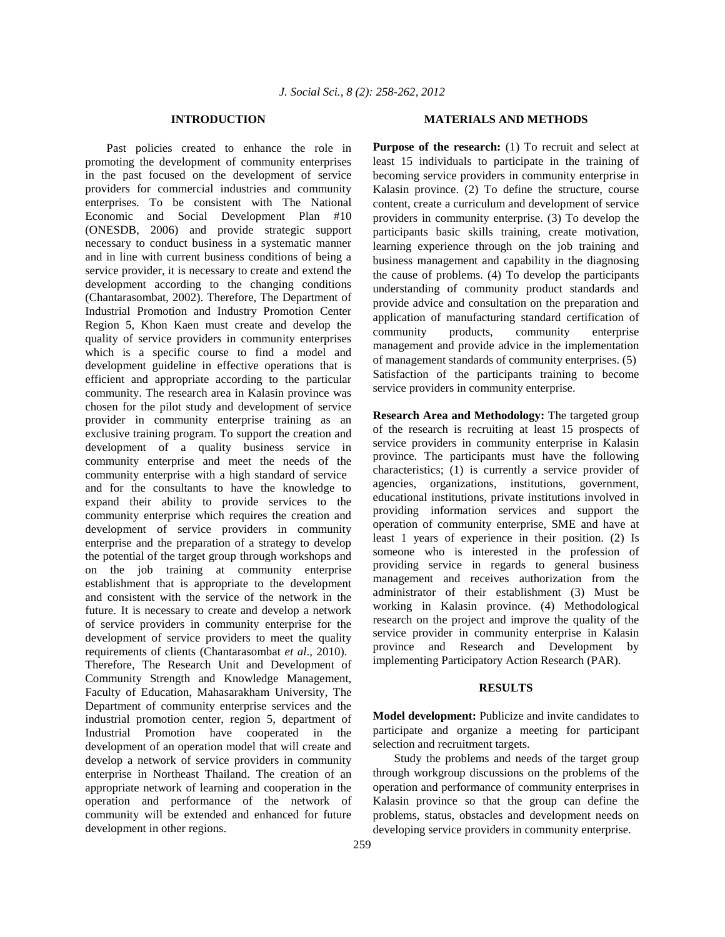### **INTRODUCTION**

 Past policies created to enhance the role in promoting the development of community enterprises in the past focused on the development of service providers for commercial industries and community enterprises. To be consistent with The National Economic and Social Development Plan #10 (ONESDB, 2006) and provide strategic support necessary to conduct business in a systematic manner and in line with current business conditions of being a service provider, it is necessary to create and extend the development according to the changing conditions (Chantarasombat, 2002). Therefore, The Department of Industrial Promotion and Industry Promotion Center Region 5, Khon Kaen must create and develop the quality of service providers in community enterprises which is a specific course to find a model and development guideline in effective operations that is efficient and appropriate according to the particular community. The research area in Kalasin province was chosen for the pilot study and development of service provider in community enterprise training as an exclusive training program. To support the creation and development of a quality business service in community enterprise and meet the needs of the community enterprise with a high standard of service and for the consultants to have the knowledge to expand their ability to provide services to the community enterprise which requires the creation and development of service providers in community enterprise and the preparation of a strategy to develop the potential of the target group through workshops and on the job training at community enterprise establishment that is appropriate to the development and consistent with the service of the network in the future. It is necessary to create and develop a network of service providers in community enterprise for the development of service providers to meet the quality requirements of clients (Chantarasombat *et al*., 2010). Therefore, The Research Unit and Development of Community Strength and Knowledge Management, Faculty of Education, Mahasarakham University, The Department of community enterprise services and the industrial promotion center, region 5, department of Industrial Promotion have cooperated in the development of an operation model that will create and develop a network of service providers in community enterprise in Northeast Thailand. The creation of an appropriate network of learning and cooperation in the operation and performance of the network of community will be extended and enhanced for future development in other regions.

### **MATERIALS AND METHODS**

**Purpose of the research:** (1) To recruit and select at least 15 individuals to participate in the training of becoming service providers in community enterprise in Kalasin province. (2) To define the structure, course content, create a curriculum and development of service providers in community enterprise. (3) To develop the participants basic skills training, create motivation, learning experience through on the job training and business management and capability in the diagnosing the cause of problems. (4) To develop the participants understanding of community product standards and provide advice and consultation on the preparation and application of manufacturing standard certification of community products, community enterprise management and provide advice in the implementation of management standards of community enterprises. (5) Satisfaction of the participants training to become service providers in community enterprise.

**Research Area and Methodology:** The targeted group of the research is recruiting at least 15 prospects of service providers in community enterprise in Kalasin province. The participants must have the following characteristics; (1) is currently a service provider of agencies, organizations, institutions, government, educational institutions, private institutions involved in providing information services and support the operation of community enterprise, SME and have at least 1 years of experience in their position. (2) Is someone who is interested in the profession of providing service in regards to general business management and receives authorization from the administrator of their establishment (3) Must be working in Kalasin province. (4) Methodological research on the project and improve the quality of the service provider in community enterprise in Kalasin province and Research and Development by implementing Participatory Action Research (PAR).

## **RESULTS**

**Model development:** Publicize and invite candidates to participate and organize a meeting for participant selection and recruitment targets.

 Study the problems and needs of the target group through workgroup discussions on the problems of the operation and performance of community enterprises in Kalasin province so that the group can define the problems, status, obstacles and development needs on developing service providers in community enterprise.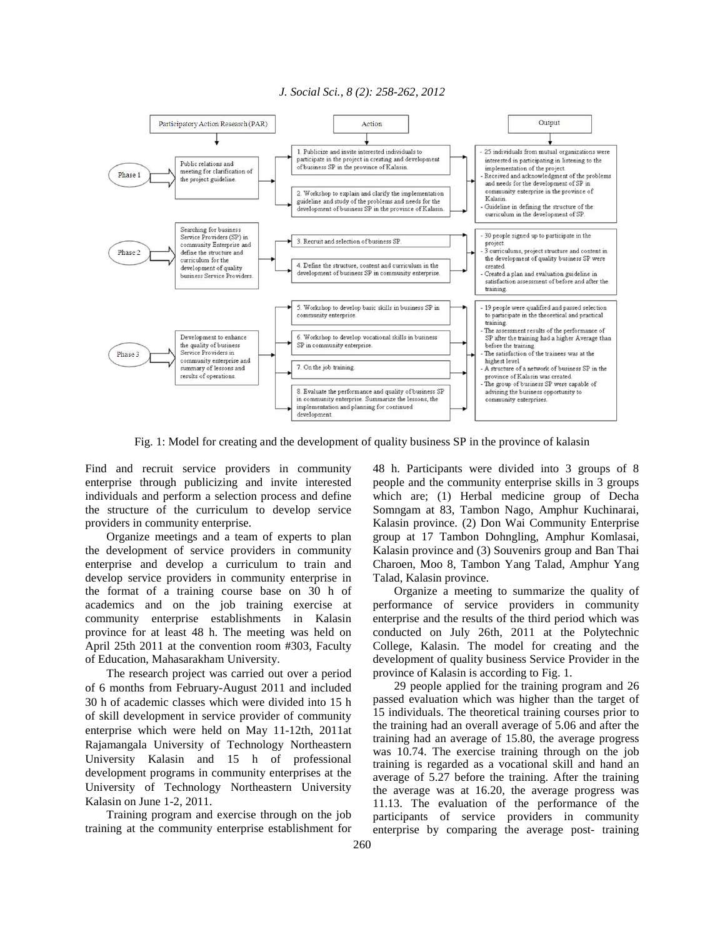### *J. Social Sci., 8 (2): 258-262, 2012*



Fig. 1: Model for creating and the development of quality business SP in the province of kalasin

Find and recruit service providers in community enterprise through publicizing and invite interested individuals and perform a selection process and define the structure of the curriculum to develop service providers in community enterprise.

 Organize meetings and a team of experts to plan the development of service providers in community enterprise and develop a curriculum to train and develop service providers in community enterprise in the format of a training course base on 30 h of academics and on the job training exercise at community enterprise establishments in Kalasin province for at least 48 h. The meeting was held on April 25th 2011 at the convention room #303, Faculty of Education, Mahasarakham University.

 The research project was carried out over a period of 6 months from February-August 2011 and included 30 h of academic classes which were divided into 15 h of skill development in service provider of community enterprise which were held on May 11-12th, 2011at Rajamangala University of Technology Northeastern University Kalasin and 15 h of professional development programs in community enterprises at the University of Technology Northeastern University Kalasin on June 1-2, 2011.

 Training program and exercise through on the job training at the community enterprise establishment for 48 h. Participants were divided into 3 groups of 8 people and the community enterprise skills in 3 groups which are; (1) Herbal medicine group of Decha Somngam at 83, Tambon Nago, Amphur Kuchinarai, Kalasin province. (2) Don Wai Community Enterprise group at 17 Tambon Dohngling, Amphur Komlasai, Kalasin province and (3) Souvenirs group and Ban Thai Charoen, Moo 8, Tambon Yang Talad, Amphur Yang Talad, Kalasin province.

 Organize a meeting to summarize the quality of performance of service providers in community enterprise and the results of the third period which was conducted on July 26th, 2011 at the Polytechnic College, Kalasin. The model for creating and the development of quality business Service Provider in the province of Kalasin is according to Fig. 1.

 29 people applied for the training program and 26 passed evaluation which was higher than the target of 15 individuals. The theoretical training courses prior to the training had an overall average of 5.06 and after the training had an average of 15.80, the average progress was 10.74. The exercise training through on the job training is regarded as a vocational skill and hand an average of 5.27 before the training. After the training the average was at 16.20, the average progress was 11.13. The evaluation of the performance of the participants of service providers in community enterprise by comparing the average post- training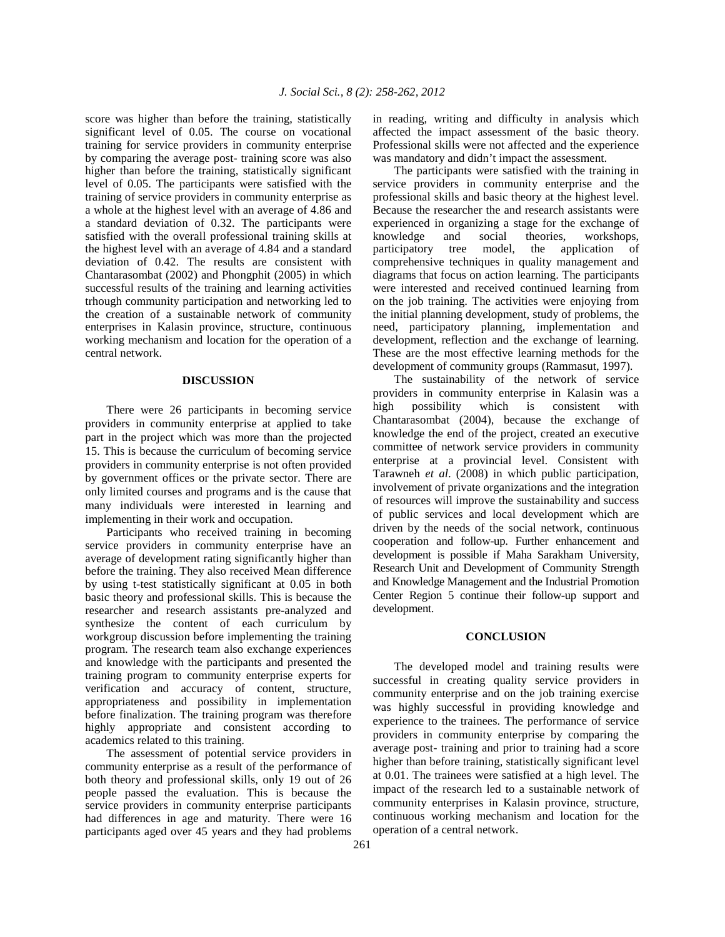score was higher than before the training, statistically significant level of 0.05. The course on vocational training for service providers in community enterprise by comparing the average post- training score was also higher than before the training, statistically significant level of 0.05. The participants were satisfied with the training of service providers in community enterprise as a whole at the highest level with an average of 4.86 and a standard deviation of 0.32. The participants were satisfied with the overall professional training skills at the highest level with an average of 4.84 and a standard deviation of 0.42. The results are consistent with Chantarasombat (2002) and Phongphit (2005) in which successful results of the training and learning activities trhough community participation and networking led to the creation of a sustainable network of community enterprises in Kalasin province, structure, continuous working mechanism and location for the operation of a central network.

## **DISCUSSION**

 There were 26 participants in becoming service providers in community enterprise at applied to take part in the project which was more than the projected 15. This is because the curriculum of becoming service providers in community enterprise is not often provided by government offices or the private sector. There are only limited courses and programs and is the cause that many individuals were interested in learning and implementing in their work and occupation.

 Participants who received training in becoming service providers in community enterprise have an average of development rating significantly higher than before the training. They also received Mean difference by using t-test statistically significant at 0.05 in both basic theory and professional skills. This is because the researcher and research assistants pre-analyzed and synthesize the content of each curriculum by workgroup discussion before implementing the training program. The research team also exchange experiences and knowledge with the participants and presented the training program to community enterprise experts for verification and accuracy of content, structure, appropriateness and possibility in implementation before finalization. The training program was therefore highly appropriate and consistent according to academics related to this training.

 The assessment of potential service providers in community enterprise as a result of the performance of both theory and professional skills, only 19 out of 26 people passed the evaluation. This is because the service providers in community enterprise participants had differences in age and maturity. There were 16 participants aged over 45 years and they had problems

261

in reading, writing and difficulty in analysis which affected the impact assessment of the basic theory. Professional skills were not affected and the experience was mandatory and didn't impact the assessment.

 The participants were satisfied with the training in service providers in community enterprise and the professional skills and basic theory at the highest level. Because the researcher the and research assistants were experienced in organizing a stage for the exchange of knowledge and social theories, workshops, participatory tree model, the application of comprehensive techniques in quality management and diagrams that focus on action learning. The participants were interested and received continued learning from on the job training. The activities were enjoying from the initial planning development, study of problems, the need, participatory planning, implementation and development, reflection and the exchange of learning. These are the most effective learning methods for the development of community groups (Rammasut, 1997).

 The sustainability of the network of service providers in community enterprise in Kalasin was a high possibility which is consistent with Chantarasombat (2004), because the exchange of knowledge the end of the project, created an executive committee of network service providers in community enterprise at a provincial level. Consistent with Tarawneh *et al*. (2008) in which public participation, involvement of private organizations and the integration of resources will improve the sustainability and success of public services and local development which are driven by the needs of the social network, continuous cooperation and follow-up. Further enhancement and development is possible if Maha Sarakham University, Research Unit and Development of Community Strength and Knowledge Management and the Industrial Promotion Center Region 5 continue their follow-up support and development.

### **CONCLUSION**

 The developed model and training results were successful in creating quality service providers in community enterprise and on the job training exercise was highly successful in providing knowledge and experience to the trainees. The performance of service providers in community enterprise by comparing the average post- training and prior to training had a score higher than before training, statistically significant level at 0.01. The trainees were satisfied at a high level. The impact of the research led to a sustainable network of community enterprises in Kalasin province, structure, continuous working mechanism and location for the operation of a central network.